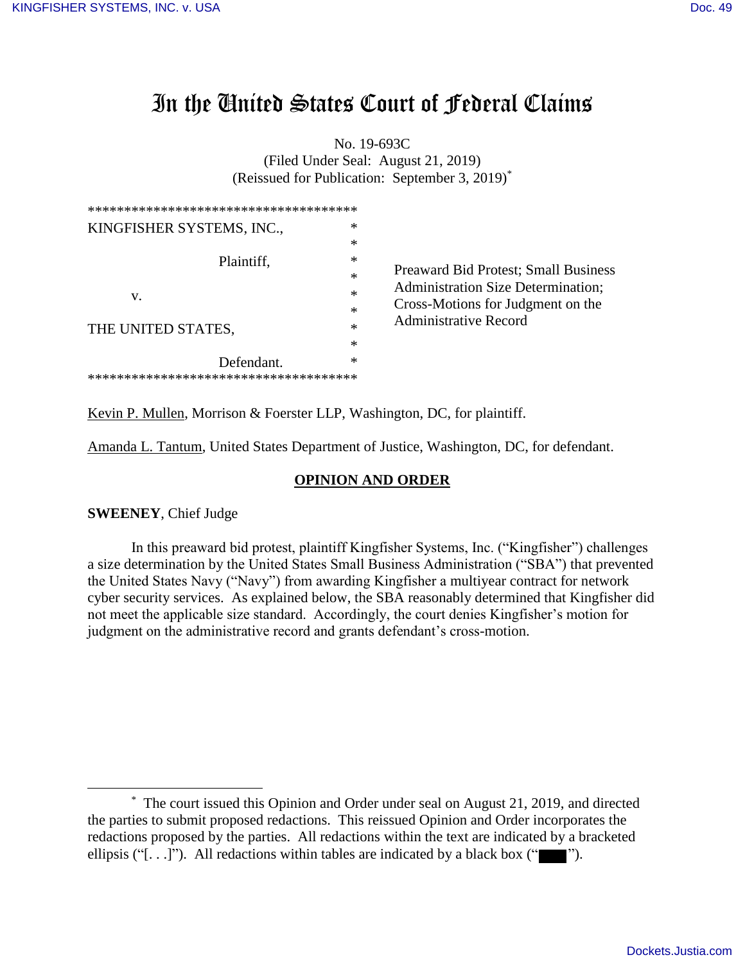# In the United States Court of Federal Claims

No. 19-693C (Filed Under Seal: August 21, 2019) (Reissued for Publication: September 3, 2019)\*

| ************************************** |                                                  |
|----------------------------------------|--------------------------------------------------|
| KINGFISHER SYSTEMS, INC.,              | *                                                |
|                                        | ∗                                                |
| Plaintiff,                             | ∗                                                |
|                                        | <b>Preaward Bid Protest; Small Business</b><br>∗ |
| V.                                     | Administration Size Determination;<br>∗          |
|                                        | Cross-Motions for Judgment on the<br>∗           |
| THE UNITED STATES,                     | <b>Administrative Record</b><br>*                |
|                                        | ∗                                                |
| Defendant.                             | *                                                |
| *************************              |                                                  |

Kevin P. Mullen, Morrison & Foerster LLP, Washington, DC, for plaintiff.

Amanda L. Tantum, United States Department of Justice, Washington, DC, for defendant.

## **OPINION AND ORDER**

**SWEENEY**, Chief Judge

 $\overline{a}$ 

In this preaward bid protest, plaintiff Kingfisher Systems, Inc. ("Kingfisher") challenges a size determination by the United States Small Business Administration ("SBA") that prevented the United States Navy ("Navy") from awarding Kingfisher a multiyear contract for network cyber security services. As explained below, the SBA reasonably determined that Kingfisher did not meet the applicable size standard. Accordingly, the court denies Kingfisher's motion for judgment on the administrative record and grants defendant's cross-motion.

<sup>\*</sup> The court issued this Opinion and Order under seal on August 21, 2019, and directed the parties to submit proposed redactions. This reissued Opinion and Order incorporates the redactions proposed by the parties. All redactions within the text are indicated by a bracketed ellipsis ("[ $\ldots$ ]"). All redactions within tables are indicated by a black box (" $\blacksquare$ ").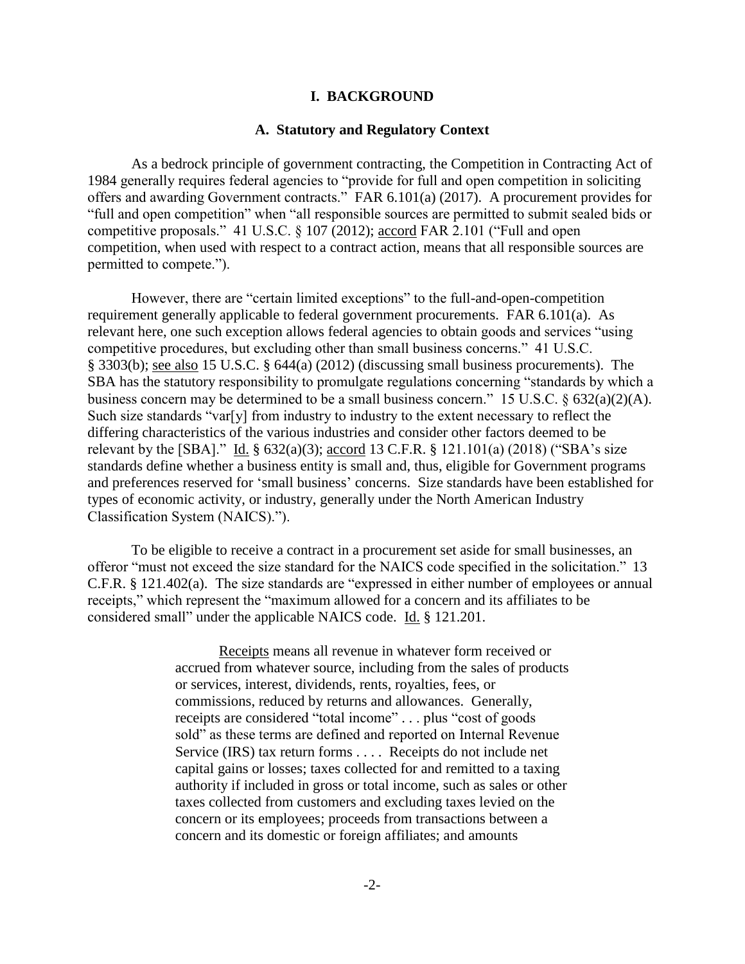## **I. BACKGROUND**

#### **A. Statutory and Regulatory Context**

 As a bedrock principle of government contracting, the Competition in Contracting Act of 1984 generally requires federal agencies to "provide for full and open competition in soliciting offers and awarding Government contracts." FAR 6.101(a) (2017). A procurement provides for "full and open competition" when "all responsible sources are permitted to submit sealed bids or competitive proposals." 41 U.S.C. § 107 (2012); accord FAR 2.101 ("Full and open competition, when used with respect to a contract action, means that all responsible sources are permitted to compete.").

However, there are "certain limited exceptions" to the full-and-open-competition requirement generally applicable to federal government procurements. FAR 6.101(a). As relevant here, one such exception allows federal agencies to obtain goods and services "using competitive procedures, but excluding other than small business concerns." 41 U.S.C. § 3303(b); see also 15 U.S.C. § 644(a) (2012) (discussing small business procurements). The SBA has the statutory responsibility to promulgate regulations concerning "standards by which a business concern may be determined to be a small business concern." 15 U.S.C. § 632(a)(2)(A). Such size standards "var[y] from industry to industry to the extent necessary to reflect the differing characteristics of the various industries and consider other factors deemed to be relevant by the [SBA]." Id. § 632(a)(3); accord 13 C.F.R. § 121.101(a) (2018) ("SBA's size standards define whether a business entity is small and, thus, eligible for Government programs and preferences reserved for 'small business' concerns. Size standards have been established for types of economic activity, or industry, generally under the North American Industry Classification System (NAICS).").

 To be eligible to receive a contract in a procurement set aside for small businesses, an offeror "must not exceed the size standard for the NAICS code specified in the solicitation." 13 C.F.R. § 121.402(a). The size standards are "expressed in either number of employees or annual receipts," which represent the "maximum allowed for a concern and its affiliates to be considered small" under the applicable NAICS code. Id. § 121.201.

> Receipts means all revenue in whatever form received or accrued from whatever source, including from the sales of products or services, interest, dividends, rents, royalties, fees, or commissions, reduced by returns and allowances. Generally, receipts are considered "total income" . . . plus "cost of goods sold" as these terms are defined and reported on Internal Revenue Service (IRS) tax return forms . . . . Receipts do not include net capital gains or losses; taxes collected for and remitted to a taxing authority if included in gross or total income, such as sales or other taxes collected from customers and excluding taxes levied on the concern or its employees; proceeds from transactions between a concern and its domestic or foreign affiliates; and amounts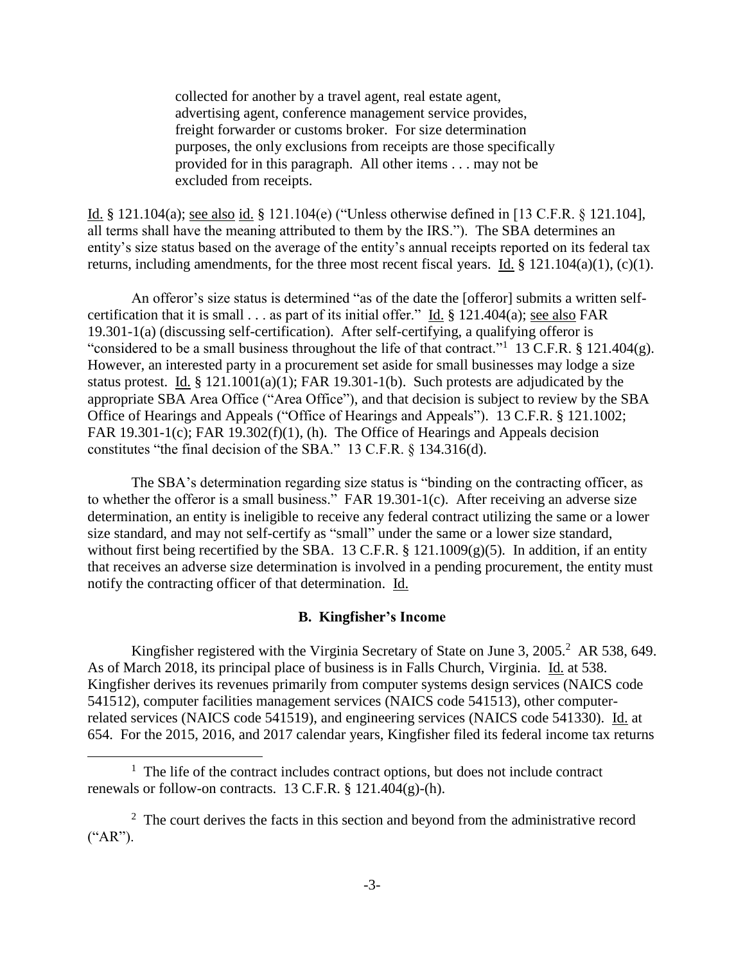collected for another by a travel agent, real estate agent, advertising agent, conference management service provides, freight forwarder or customs broker. For size determination purposes, the only exclusions from receipts are those specifically provided for in this paragraph. All other items . . . may not be excluded from receipts.

Id. § 121.104(a); see also id. § 121.104(e) ("Unless otherwise defined in [13 C.F.R. § 121.104], all terms shall have the meaning attributed to them by the IRS."). The SBA determines an entity's size status based on the average of the entity's annual receipts reported on its federal tax returns, including amendments, for the three most recent fiscal years. Id. § 121.104(a)(1), (c)(1).

An offeror's size status is determined "as of the date the [offeror] submits a written selfcertification that it is small . . . as part of its initial offer." Id. § 121.404(a); see also FAR 19.301-1(a) (discussing self-certification). After self-certifying, a qualifying offeror is "considered to be a small business throughout the life of that contract."<sup>1</sup> 13 C.F.R. § 121.404(g). However, an interested party in a procurement set aside for small businesses may lodge a size status protest. Id.  $\S$  121.1001(a)(1); FAR 19.301-1(b). Such protests are adjudicated by the appropriate SBA Area Office ("Area Office"), and that decision is subject to review by the SBA Office of Hearings and Appeals ("Office of Hearings and Appeals"). 13 C.F.R. § 121.1002; FAR 19.301-1(c); FAR 19.302(f)(1), (h). The Office of Hearings and Appeals decision constitutes "the final decision of the SBA." 13 C.F.R. § 134.316(d).

The SBA's determination regarding size status is "binding on the contracting officer, as to whether the offeror is a small business." FAR 19.301-1(c). After receiving an adverse size determination, an entity is ineligible to receive any federal contract utilizing the same or a lower size standard, and may not self-certify as "small" under the same or a lower size standard, without first being recertified by the SBA. 13 C.F.R.  $\S$  121.1009(g)(5). In addition, if an entity that receives an adverse size determination is involved in a pending procurement, the entity must notify the contracting officer of that determination. Id.

#### **B. Kingfisher's Income**

Kingfisher registered with the Virginia Secretary of State on June 3, 2005.<sup>2</sup> AR 538, 649. As of March 2018, its principal place of business is in Falls Church, Virginia. Id. at 538. Kingfisher derives its revenues primarily from computer systems design services (NAICS code 541512), computer facilities management services (NAICS code 541513), other computerrelated services (NAICS code 541519), and engineering services (NAICS code 541330). Id. at 654. For the 2015, 2016, and 2017 calendar years, Kingfisher filed its federal income tax returns

<sup>&</sup>lt;sup>1</sup> The life of the contract includes contract options, but does not include contract renewals or follow-on contracts. 13 C.F.R.  $\S$  121.404(g)-(h).

 $2$  The court derives the facts in this section and beyond from the administrative record  $(*AR").$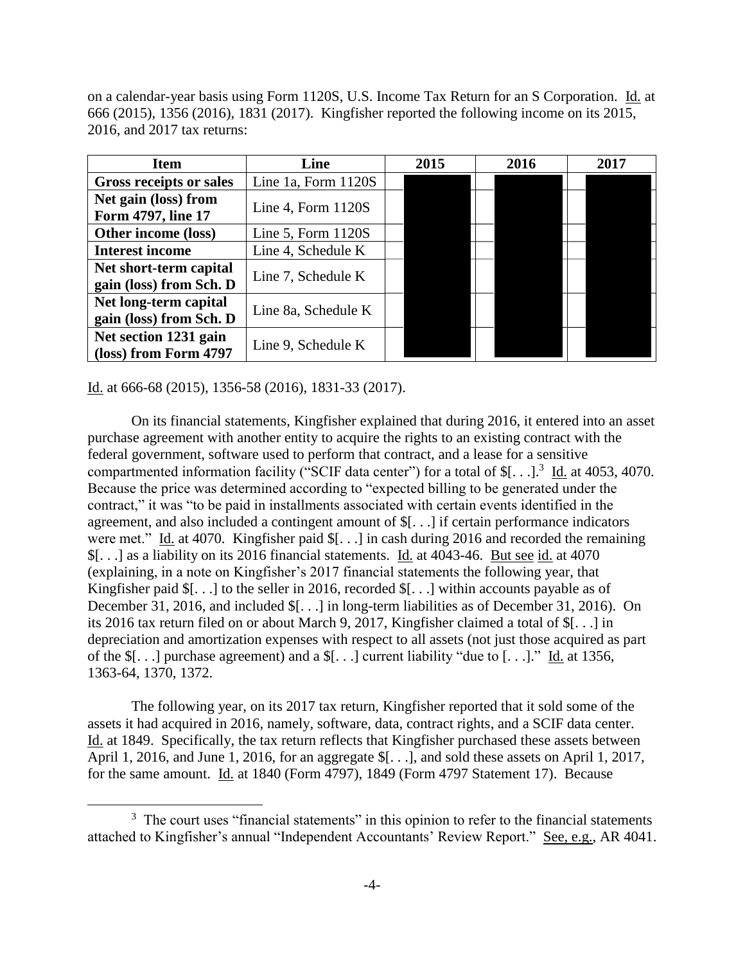on a calendar-year basis using Form 1120S, U.S. Income Tax Return for an S Corporation. Id. at 666 (2015), 1356 (2016), 1831 (2017). Kingfisher reported the following income on its 2015, 2016, and 2017 tax returns:

| <b>Item</b>                    | Line                 |  | 2015 | 2016 | 2017 |
|--------------------------------|----------------------|--|------|------|------|
| <b>Gross receipts or sales</b> | Line 1a, Form 1120S  |  |      |      |      |
| Net gain (loss) from           | Line 4, Form $1120S$ |  |      |      |      |
| Form 4797, line 17             |                      |  |      |      |      |
| Other income (loss)            | Line 5, Form $1120S$ |  |      |      |      |
| <b>Interest income</b>         | Line 4, Schedule K   |  |      |      |      |
| Net short-term capital         | Line 7, Schedule K   |  |      |      |      |
| gain (loss) from Sch. D        |                      |  |      |      |      |
| Net long-term capital          | Line 8a, Schedule K  |  |      |      |      |
| gain (loss) from Sch. D        |                      |  |      |      |      |
| Net section 1231 gain          | Line 9, Schedule K   |  |      |      |      |
| (loss) from Form 4797          |                      |  |      |      |      |

Id. at 666-68 (2015), 1356-58 (2016), 1831-33 (2017).

 $\overline{a}$ 

 On its financial statements, Kingfisher explained that during 2016, it entered into an asset purchase agreement with another entity to acquire the rights to an existing contract with the federal government, software used to perform that contract, and a lease for a sensitive compartmented information facility ("SCIF data center") for a total of  $\S[...]$ <sup>3</sup> Id. at 4053, 4070. Because the price was determined according to "expected billing to be generated under the contract," it was "to be paid in installments associated with certain events identified in the agreement, and also included a contingent amount of \$[. . .] if certain performance indicators were met." Id. at 4070. Kingfisher paid \$[. . .] in cash during 2016 and recorded the remaining \$[. . .] as a liability on its 2016 financial statements. Id. at 4043-46. But see id. at 4070 (explaining, in a note on Kingfisher's 2017 financial statements the following year, that Kingfisher paid \$[. . .] to the seller in 2016, recorded \$[. . .] within accounts payable as of December 31, 2016, and included \$[. . .] in long-term liabilities as of December 31, 2016). On its 2016 tax return filed on or about March 9, 2017, Kingfisher claimed a total of \$[. . .] in depreciation and amortization expenses with respect to all assets (not just those acquired as part of the \$[. . .] purchase agreement) and a \$[. . .] current liability "due to [. . .]." Id. at 1356, 1363-64, 1370, 1372.

 The following year, on its 2017 tax return, Kingfisher reported that it sold some of the assets it had acquired in 2016, namely, software, data, contract rights, and a SCIF data center. Id. at 1849. Specifically, the tax return reflects that Kingfisher purchased these assets between April 1, 2016, and June 1, 2016, for an aggregate  $\[ \cdot \]$ ..., and sold these assets on April 1, 2017, for the same amount. Id. at 1840 (Form 4797), 1849 (Form 4797 Statement 17). Because

 $3$  The court uses "financial statements" in this opinion to refer to the financial statements attached to Kingfisher's annual "Independent Accountants' Review Report." See, e.g., AR 4041.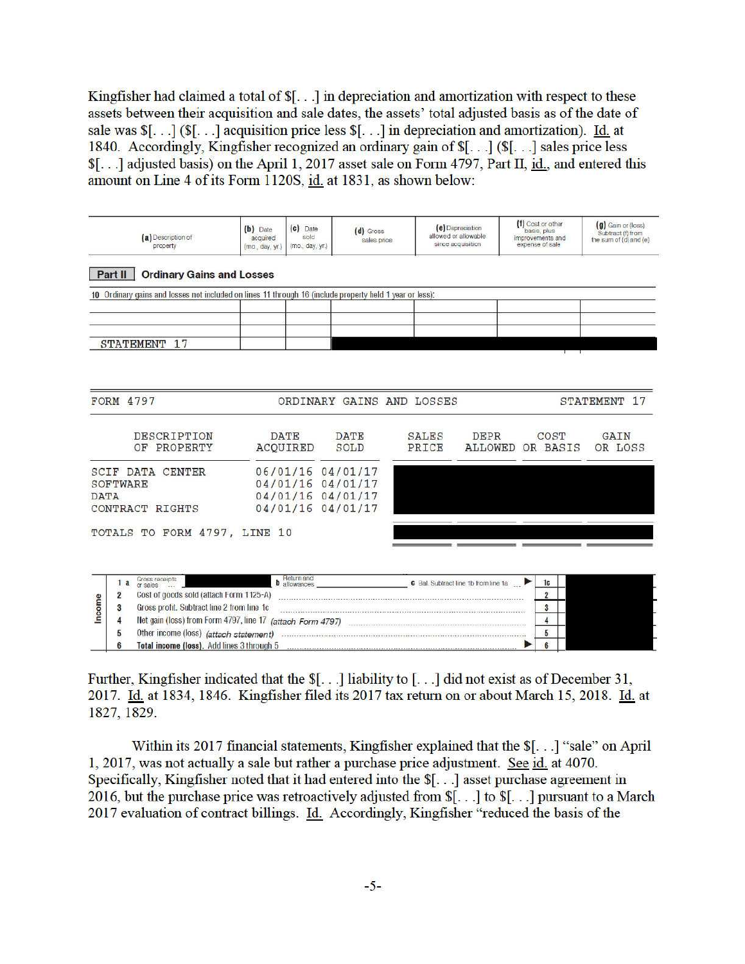Kingfisher had claimed a total of \$[...] in depreciation and amortization with respect to these assets between their acquisition and sale dates, the assets' total adjusted basis as of the date of sale was  $\[ \cdot \]$ .  $\]$  ( $\[ \cdot \]$ ) acquisition price less  $\[ \cdot \]$ .  $\]$  in depreciation and amortization). Id. at 1840. Accordingly, Kingfisher recognized an ordinary gain of \$[...] (\$[...] sales price less \$[...] adjusted basis) on the April 1, 2017 asset sale on Form 4797, Part II, id., and entered this amount on Line 4 of its Form 1120S, id. at 1831, as shown below:

|             | (a) Description of<br>property                                                                                                                                                                                      | (b) Date<br>acquired<br>(mo., day, yr.) | (c) Date<br>sold<br>(mo., day, yr.)                                              | $(d)$ Gross<br>sales price |                | (e) Depreciation<br>allowed or allowable<br>since acquisition | basis plus<br>expense of sale | (f) Cost or other<br>improvements and | (g) Gain or (loss)<br>Subtract (f) from<br>the sum of (d) and (e) |
|-------------|---------------------------------------------------------------------------------------------------------------------------------------------------------------------------------------------------------------------|-----------------------------------------|----------------------------------------------------------------------------------|----------------------------|----------------|---------------------------------------------------------------|-------------------------------|---------------------------------------|-------------------------------------------------------------------|
|             | <b>Ordinary Gains and Losses</b><br>Part II                                                                                                                                                                         |                                         |                                                                                  |                            |                |                                                               |                               |                                       |                                                                   |
|             | 10 Ordinary gains and losses not included on lines 11 through 16 (include property held 1 year or less):                                                                                                            |                                         |                                                                                  |                            |                |                                                               |                               |                                       |                                                                   |
|             | <b>STATEMENT</b><br>17                                                                                                                                                                                              |                                         |                                                                                  |                            |                |                                                               |                               |                                       |                                                                   |
|             | <b>FORM 4797</b>                                                                                                                                                                                                    |                                         |                                                                                  | ORDINARY GAINS AND LOSSES  |                |                                                               |                               |                                       | STATEMENT 17                                                      |
|             | DESCRIPTION<br>OF PROPERTY                                                                                                                                                                                          | <b>DATE</b><br>ACOUIRED                 |                                                                                  | <b>DATE</b><br>SOLD        | SALES<br>PRICE | DEPR<br><b>ALLOWED</b>                                        |                               | COST<br>OR BASIS                      | GAIN<br>OR LOSS                                                   |
| <b>DATA</b> | <b>SCIF DATA CENTER</b><br>SOFTWARE<br>CONTRACT<br>RIGHTS                                                                                                                                                           |                                         | 06/01/16 04/01/17<br>04/01/16 04/01/17<br>04/01/16 04/01/17<br>04/01/16 04/01/17 |                            |                |                                                               |                               |                                       |                                                                   |
|             | TOTALS TO FORM 4797, LINE 10                                                                                                                                                                                        |                                         |                                                                                  |                            |                |                                                               |                               |                                       |                                                                   |
| ncome       | Grass receipts<br>1a<br>or sales<br>Cost of goods sold (attach Form 1125-A)<br>$\overline{2}$<br>Gross profit. Subtract line 2 from line 1c<br>3<br>4<br>Net gain (loss) from Form 4797, line 17 (attach Form 4797) |                                         | Return and<br><b>b</b> allowances                                                |                            |                | <b>6</b> Bal. Subtract line 1b from line 1a                   |                               | 1c<br>$\overline{2}$<br>3<br>4        |                                                                   |
|             | 5<br>6<br>Total income (loss). Add lines 3 through 5                                                                                                                                                                |                                         |                                                                                  |                            |                |                                                               |                               | 5<br>6                                |                                                                   |

Further, Kingfisher indicated that the \$[...] liability to [...] did not exist as of December 31, 2017. Id. at 1834, 1846. Kingfisher filed its 2017 tax return on or about March 15, 2018. Id. at 1827, 1829.

Within its 2017 financial statements, Kingfisher explained that the \$[...] "sale" on April 1, 2017, was not actually a sale but rather a purchase price adjustment. See id. at 4070. Specifically, Kingfisher noted that it had entered into the  $\S$ [...] asset purchase agreement in 2016, but the purchase price was retroactively adjusted from  $\[\mathcal{S}[\dots]$  to  $\[\mathcal{S}[\dots]$  pursuant to a March 2017 evaluation of contract billings. Id. Accordingly, Kingfisher "reduced the basis of the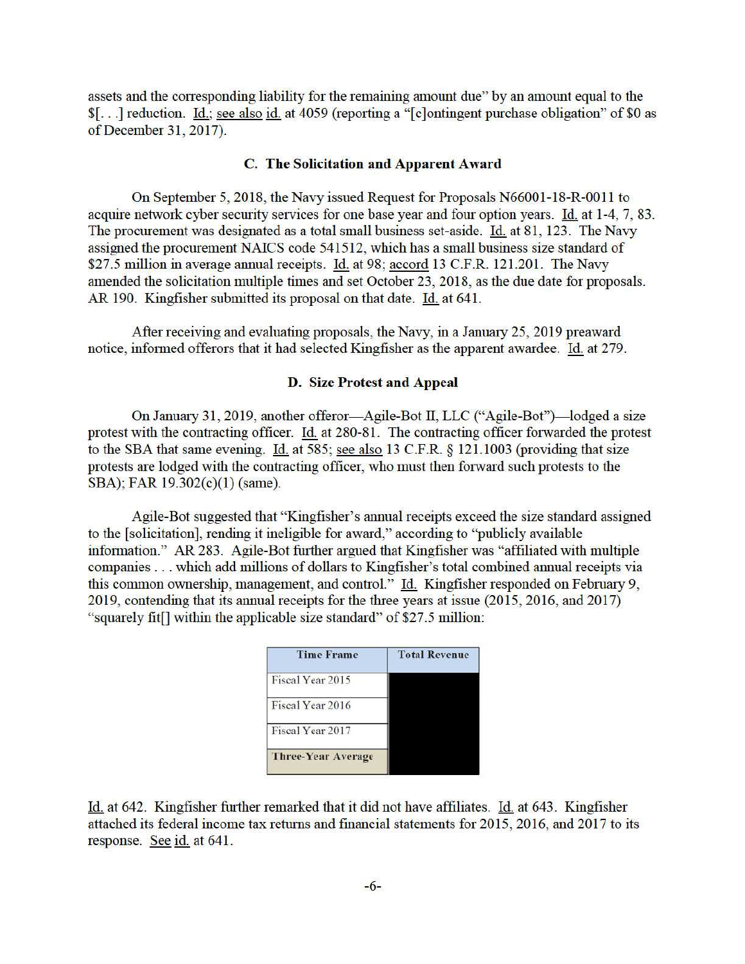assets and the corresponding liability for the remaining amount due" by an amount equal to the \$[...] reduction. Id.; see also id. at 4059 (reporting a "[c] ontingent purchase obligation" of \$0 as of December 31, 2017).

## C. The Solicitation and Apparent Award

On September 5, 2018, the Navy issued Request for Proposals N66001-18-R-0011 to acquire network cyber security services for one base year and four option years. Id. at 1-4, 7, 83. The procurement was designated as a total small business set-aside. Id. at 81, 123. The Navy assigned the procurement NAICS code 541512, which has a small business size standard of \$27.5 million in average annual receipts. Id. at 98; accord 13 C.F.R. 121.201. The Navy amended the solicitation multiple times and set October 23, 2018, as the due date for proposals. AR 190. Kingfisher submitted its proposal on that date. Id. at 641.

After receiving and evaluating proposals, the Navy, in a January 25, 2019 preaward notice, informed offerors that it had selected Kingfisher as the apparent awardee. Id. at 279.

## **D.** Size Protest and Appeal

On January 31, 2019, another offeror—Agile-Bot II, LLC ("Agile-Bot")—lodged a size protest with the contracting officer. Id. at 280-81. The contracting officer forwarded the protest to the SBA that same evening. Id. at 585; see also 13 C.F.R. § 121.1003 (providing that size protests are lodged with the contracting officer, who must then forward such protests to the SBA); FAR 19.302(c)(1) (same).

Agile-Bot suggested that "Kingfisher's annual receipts exceed the size standard assigned to the [solicitation], rending it ineligible for award," according to "publicly available information." AR 283. Agile-Bot further argued that Kingfisher was "affiliated with multiple companies . . . which add millions of dollars to Kingfisher's total combined annual receipts via this common ownership, management, and control." Id. Kingfisher responded on February 9, 2019, contending that its annual receipts for the three years at issue (2015, 2016, and 2017) "squarely fit[] within the applicable size standard" of \$27.5 million:



Id. at 642. Kingfisher further remarked that it did not have affiliates. Id. at 643. Kingfisher attached its federal income tax returns and financial statements for 2015, 2016, and 2017 to its response. See id. at 641.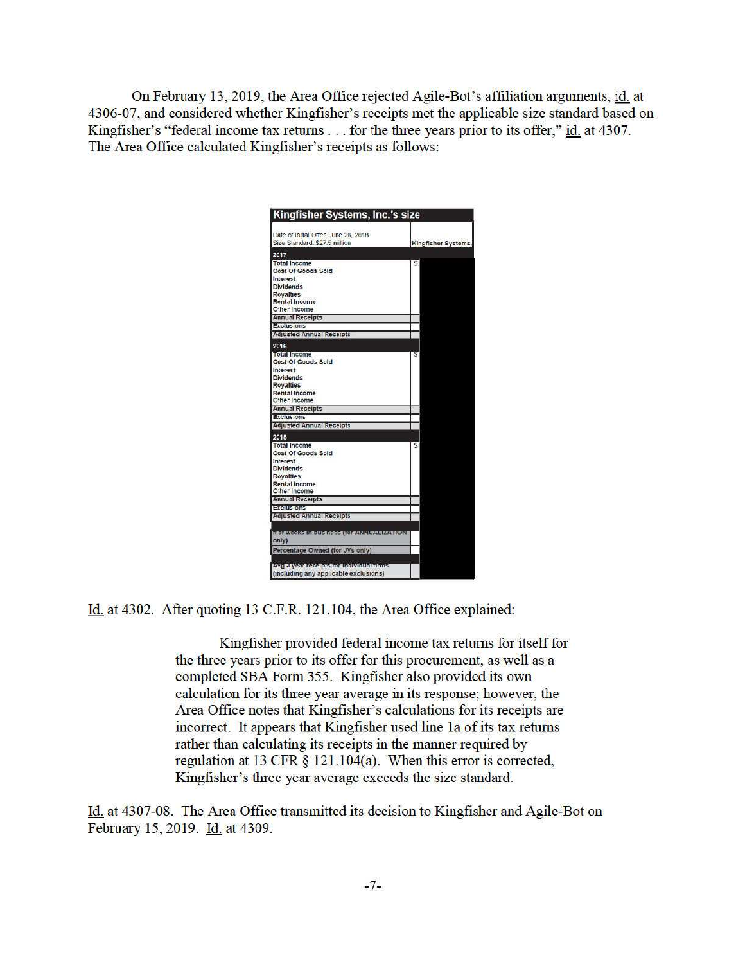On February 13, 2019, the Area Office rejected Agile-Bot's affiliation arguments, id. at 4306-07, and considered whether Kingfisher's receipts met the applicable size standard based on Kingfisher's "federal income tax returns . . . for the three years prior to its offer," id. at 4307. The Area Office calculated Kingfisher's receipts as follows:

| Date of Initial Offer: June 28, 2018<br>Size Standard: \$27.5 million | Kingfisher Systems, |
|-----------------------------------------------------------------------|---------------------|
| 2017                                                                  |                     |
| <b>Total Income</b>                                                   | 5                   |
| Cost Of Goods Sold                                                    |                     |
| Interest                                                              |                     |
| <b>Dividends</b>                                                      |                     |
| <b>Rovalties</b>                                                      |                     |
| <b>Rental Income</b>                                                  |                     |
| Other Income                                                          |                     |
| <b>Annual Receipts</b>                                                |                     |
| Exclusions                                                            |                     |
| <b>Adjusted Annual Receipts</b>                                       |                     |
| 2016                                                                  |                     |
| <b>Total Income</b>                                                   |                     |
| Cost Of Goods Sold                                                    |                     |
| Interest                                                              |                     |
| <b>Dividends</b>                                                      |                     |
| Royalties                                                             |                     |
| <b>Rental Income</b>                                                  |                     |
| Other Income                                                          |                     |
| <b>Annual Receipts</b>                                                |                     |
| Exclusions                                                            |                     |
| <b>Adjusted Annual Receipts</b>                                       |                     |
| 2015                                                                  |                     |
| <b>Total Income</b>                                                   | Ś                   |
| Cost Of Goods Sold                                                    |                     |
| <b>Interest</b>                                                       |                     |
| <b>Dividends</b>                                                      |                     |
| <b>Royalties</b>                                                      |                     |
| Rental Income                                                         |                     |
| Other Income                                                          |                     |
| <b>Annual Receipts</b>                                                |                     |
| Exclusions                                                            |                     |
| <b>Adjusted Annual Receipts</b>                                       |                     |
| # of weeks in business (for ANNUALIZATION<br>only)                    |                     |
| Percentage Owned (for JVs only)                                       |                     |
| Avg 3 year receipts for individual nime                               |                     |
| (including any applicable exclusions)                                 |                     |

Id. at 4302. After quoting 13 C.F.R. 121.104, the Area Office explained:

Kingfisher provided federal income tax returns for itself for the three years prior to its offer for this procurement, as well as a completed SBA Form 355. Kingfisher also provided its own calculation for its three year average in its response; however, the Area Office notes that Kingfisher's calculations for its receipts are incorrect. It appears that Kingfisher used line 1a of its tax returns rather than calculating its receipts in the manner required by regulation at 13 CFR § 121.104(a). When this error is corrected, Kingfisher's three year average exceeds the size standard.

Id. at 4307-08. The Area Office transmitted its decision to Kingfisher and Agile-Bot on February 15, 2019. Id. at 4309.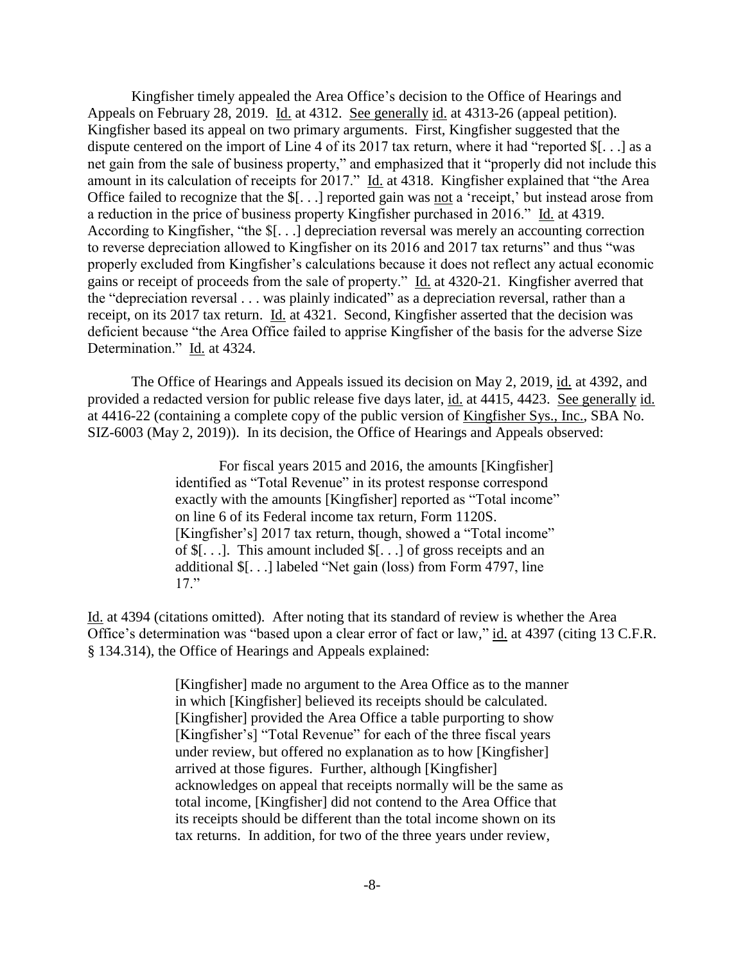Kingfisher timely appealed the Area Office's decision to the Office of Hearings and Appeals on February 28, 2019. Id. at 4312. See generally id. at 4313-26 (appeal petition). Kingfisher based its appeal on two primary arguments. First, Kingfisher suggested that the dispute centered on the import of Line 4 of its 2017 tax return, where it had "reported \$[. . .] as a net gain from the sale of business property," and emphasized that it "properly did not include this amount in its calculation of receipts for 2017." Id. at 4318. Kingfisher explained that "the Area Office failed to recognize that the \$[. . .] reported gain was not a 'receipt,' but instead arose from a reduction in the price of business property Kingfisher purchased in 2016." Id. at 4319. According to Kingfisher, "the \$[. . .] depreciation reversal was merely an accounting correction to reverse depreciation allowed to Kingfisher on its 2016 and 2017 tax returns" and thus "was properly excluded from Kingfisher's calculations because it does not reflect any actual economic gains or receipt of proceeds from the sale of property." Id. at 4320-21. Kingfisher averred that the "depreciation reversal . . . was plainly indicated" as a depreciation reversal, rather than a receipt, on its 2017 tax return. Id. at 4321. Second, Kingfisher asserted that the decision was deficient because "the Area Office failed to apprise Kingfisher of the basis for the adverse Size Determination." Id. at 4324.

The Office of Hearings and Appeals issued its decision on May 2, 2019, id. at 4392, and provided a redacted version for public release five days later, id. at 4415, 4423. See generally id. at 4416-22 (containing a complete copy of the public version of Kingfisher Sys., Inc., SBA No. SIZ-6003 (May 2, 2019)). In its decision, the Office of Hearings and Appeals observed:

> For fiscal years 2015 and 2016, the amounts [Kingfisher] identified as "Total Revenue" in its protest response correspond exactly with the amounts [Kingfisher] reported as "Total income" on line 6 of its Federal income tax return, Form 1120S. [Kingfisher's] 2017 tax return, though, showed a "Total income" of \$[. . .]. This amount included \$[. . .] of gross receipts and an additional \$[. . .] labeled "Net gain (loss) from Form 4797, line 17."

Id. at 4394 (citations omitted). After noting that its standard of review is whether the Area Office's determination was "based upon a clear error of fact or law," id. at 4397 (citing 13 C.F.R. § 134.314), the Office of Hearings and Appeals explained:

> [Kingfisher] made no argument to the Area Office as to the manner in which [Kingfisher] believed its receipts should be calculated. [Kingfisher] provided the Area Office a table purporting to show [Kingfisher's] "Total Revenue" for each of the three fiscal years under review, but offered no explanation as to how [Kingfisher] arrived at those figures. Further, although [Kingfisher] acknowledges on appeal that receipts normally will be the same as total income, [Kingfisher] did not contend to the Area Office that its receipts should be different than the total income shown on its tax returns. In addition, for two of the three years under review,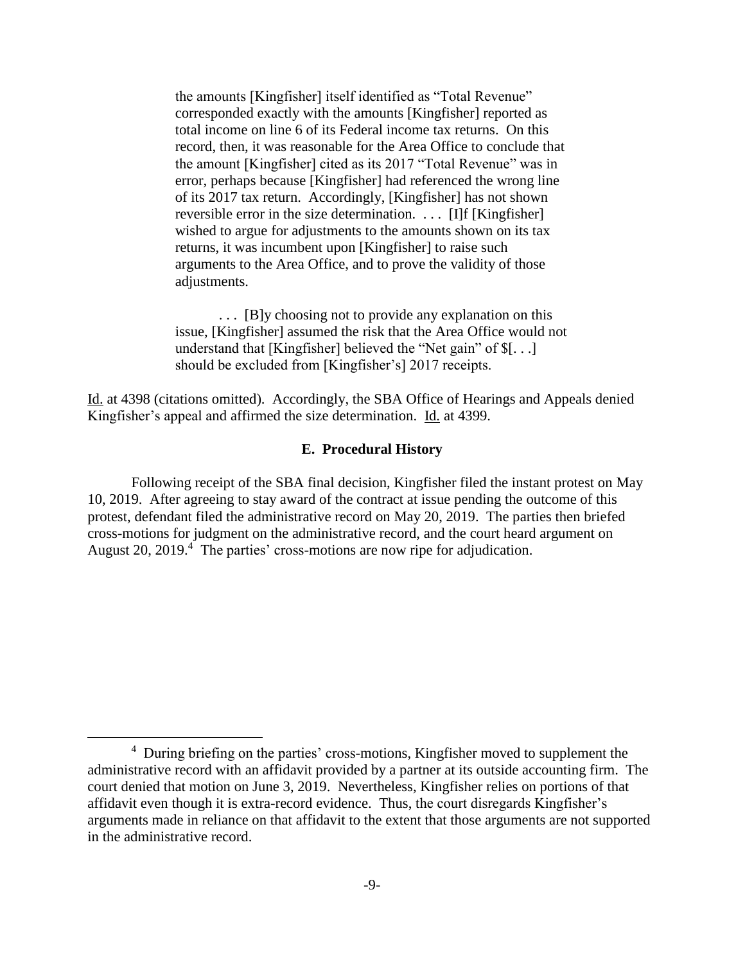the amounts [Kingfisher] itself identified as "Total Revenue" corresponded exactly with the amounts [Kingfisher] reported as total income on line 6 of its Federal income tax returns. On this record, then, it was reasonable for the Area Office to conclude that the amount [Kingfisher] cited as its 2017 "Total Revenue" was in error, perhaps because [Kingfisher] had referenced the wrong line of its 2017 tax return. Accordingly, [Kingfisher] has not shown reversible error in the size determination. . . . [I]f [Kingfisher] wished to argue for adjustments to the amounts shown on its tax returns, it was incumbent upon [Kingfisher] to raise such arguments to the Area Office, and to prove the validity of those adjustments.

 . . . [B]y choosing not to provide any explanation on this issue, [Kingfisher] assumed the risk that the Area Office would not understand that [Kingfisher] believed the "Net gain" of \$[. . .] should be excluded from [Kingfisher's] 2017 receipts.

Id. at 4398 (citations omitted). Accordingly, the SBA Office of Hearings and Appeals denied Kingfisher's appeal and affirmed the size determination. Id. at 4399.

## **E. Procedural History**

 Following receipt of the SBA final decision, Kingfisher filed the instant protest on May 10, 2019. After agreeing to stay award of the contract at issue pending the outcome of this protest, defendant filed the administrative record on May 20, 2019. The parties then briefed cross-motions for judgment on the administrative record, and the court heard argument on August 20, 2019. $4$  The parties' cross-motions are now ripe for adjudication.

<sup>&</sup>lt;sup>4</sup> During briefing on the parties' cross-motions, Kingfisher moved to supplement the administrative record with an affidavit provided by a partner at its outside accounting firm. The court denied that motion on June 3, 2019. Nevertheless, Kingfisher relies on portions of that affidavit even though it is extra-record evidence. Thus, the court disregards Kingfisher's arguments made in reliance on that affidavit to the extent that those arguments are not supported in the administrative record.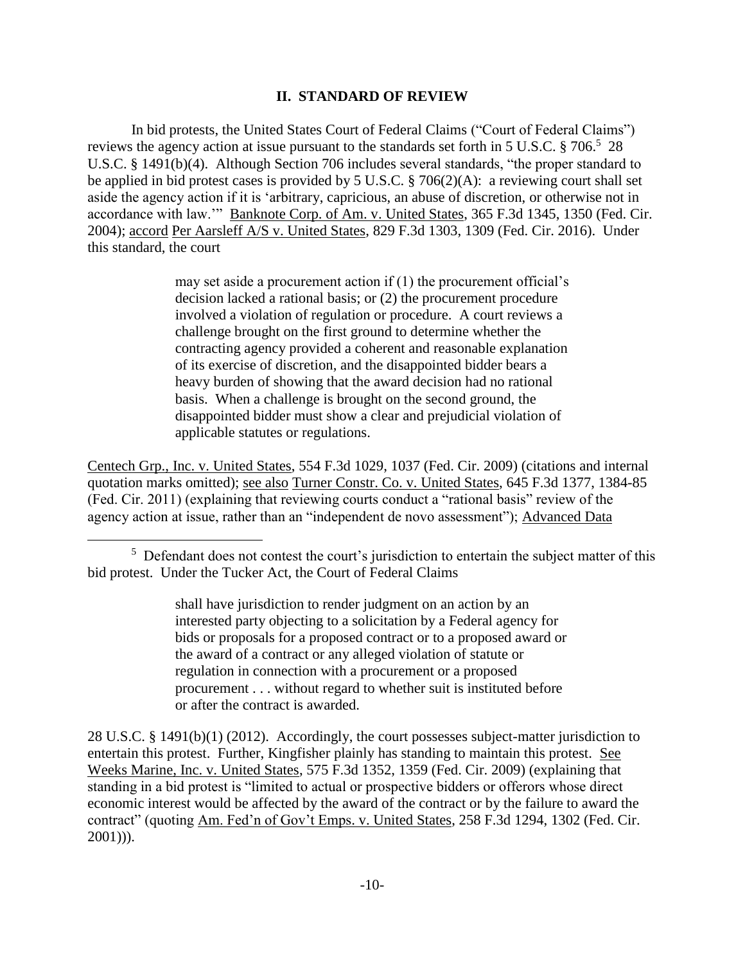## **II. STANDARD OF REVIEW**

In bid protests, the United States Court of Federal Claims ("Court of Federal Claims") reviews the agency action at issue pursuant to the standards set forth in 5 U.S.C. § 706.<sup>5</sup> 28 U.S.C. § 1491(b)(4). Although Section 706 includes several standards, "the proper standard to be applied in bid protest cases is provided by 5 U.S.C. § 706(2)(A): a reviewing court shall set aside the agency action if it is 'arbitrary, capricious, an abuse of discretion, or otherwise not in accordance with law.'" Banknote Corp. of Am. v. United States, 365 F.3d 1345, 1350 (Fed. Cir. 2004); accord Per Aarsleff A/S v. United States, 829 F.3d 1303, 1309 (Fed. Cir. 2016). Under this standard, the court

> may set aside a procurement action if (1) the procurement official's decision lacked a rational basis; or (2) the procurement procedure involved a violation of regulation or procedure. A court reviews a challenge brought on the first ground to determine whether the contracting agency provided a coherent and reasonable explanation of its exercise of discretion, and the disappointed bidder bears a heavy burden of showing that the award decision had no rational basis. When a challenge is brought on the second ground, the disappointed bidder must show a clear and prejudicial violation of applicable statutes or regulations.

Centech Grp., Inc. v. United States, 554 F.3d 1029, 1037 (Fed. Cir. 2009) (citations and internal quotation marks omitted); see also Turner Constr. Co. v. United States, 645 F.3d 1377, 1384-85 (Fed. Cir. 2011) (explaining that reviewing courts conduct a "rational basis" review of the agency action at issue, rather than an "independent de novo assessment"); Advanced Data

 $\overline{a}$ 

shall have jurisdiction to render judgment on an action by an interested party objecting to a solicitation by a Federal agency for bids or proposals for a proposed contract or to a proposed award or the award of a contract or any alleged violation of statute or regulation in connection with a procurement or a proposed procurement . . . without regard to whether suit is instituted before or after the contract is awarded.

28 U.S.C. § 1491(b)(1) (2012). Accordingly, the court possesses subject-matter jurisdiction to entertain this protest. Further, Kingfisher plainly has standing to maintain this protest. See Weeks Marine, Inc. v. United States, 575 F.3d 1352, 1359 (Fed. Cir. 2009) (explaining that standing in a bid protest is "limited to actual or prospective bidders or offerors whose direct economic interest would be affected by the award of the contract or by the failure to award the contract" (quoting Am. Fed'n of Gov't Emps. v. United States, 258 F.3d 1294, 1302 (Fed. Cir. 2001))).

<sup>&</sup>lt;sup>5</sup> Defendant does not contest the court's jurisdiction to entertain the subject matter of this bid protest. Under the Tucker Act, the Court of Federal Claims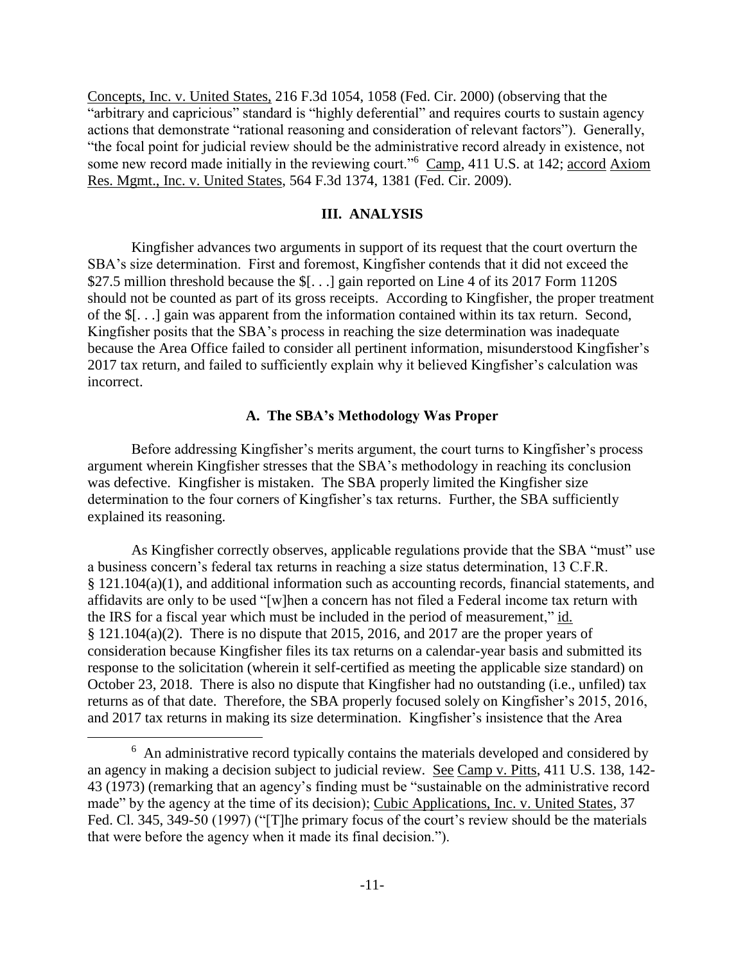Concepts, Inc. v. United States, 216 F.3d 1054, 1058 (Fed. Cir. 2000) (observing that the "arbitrary and capricious" standard is "highly deferential" and requires courts to sustain agency actions that demonstrate "rational reasoning and consideration of relevant factors"). Generally, "the focal point for judicial review should be the administrative record already in existence, not some new record made initially in the reviewing court."<sup>6</sup> Camp, 411 U.S. at 142; accord Axiom Res. Mgmt., Inc. v. United States, 564 F.3d 1374, 1381 (Fed. Cir. 2009).

## **III. ANALYSIS**

 Kingfisher advances two arguments in support of its request that the court overturn the SBA's size determination. First and foremost, Kingfisher contends that it did not exceed the \$27.5 million threshold because the \$[...] gain reported on Line 4 of its 2017 Form 1120S should not be counted as part of its gross receipts. According to Kingfisher, the proper treatment of the \$[. . .] gain was apparent from the information contained within its tax return. Second, Kingfisher posits that the SBA's process in reaching the size determination was inadequate because the Area Office failed to consider all pertinent information, misunderstood Kingfisher's 2017 tax return, and failed to sufficiently explain why it believed Kingfisher's calculation was incorrect.

## **A. The SBA's Methodology Was Proper**

Before addressing Kingfisher's merits argument, the court turns to Kingfisher's process argument wherein Kingfisher stresses that the SBA's methodology in reaching its conclusion was defective. Kingfisher is mistaken. The SBA properly limited the Kingfisher size determination to the four corners of Kingfisher's tax returns. Further, the SBA sufficiently explained its reasoning.

As Kingfisher correctly observes, applicable regulations provide that the SBA "must" use a business concern's federal tax returns in reaching a size status determination, 13 C.F.R. § 121.104(a)(1), and additional information such as accounting records, financial statements, and affidavits are only to be used "[w]hen a concern has not filed a Federal income tax return with the IRS for a fiscal year which must be included in the period of measurement," id.  $§$  121.104(a)(2). There is no dispute that 2015, 2016, and 2017 are the proper years of consideration because Kingfisher files its tax returns on a calendar-year basis and submitted its response to the solicitation (wherein it self-certified as meeting the applicable size standard) on October 23, 2018. There is also no dispute that Kingfisher had no outstanding (i.e., unfiled) tax returns as of that date. Therefore, the SBA properly focused solely on Kingfisher's 2015, 2016, and 2017 tax returns in making its size determination. Kingfisher's insistence that the Area

<sup>&</sup>lt;sup>6</sup> An administrative record typically contains the materials developed and considered by an agency in making a decision subject to judicial review. See Camp v. Pitts, 411 U.S. 138, 142- 43 (1973) (remarking that an agency's finding must be "sustainable on the administrative record made" by the agency at the time of its decision); Cubic Applications, Inc. v. United States, 37 Fed. Cl. 345, 349-50 (1997) ("The primary focus of the court's review should be the materials that were before the agency when it made its final decision.").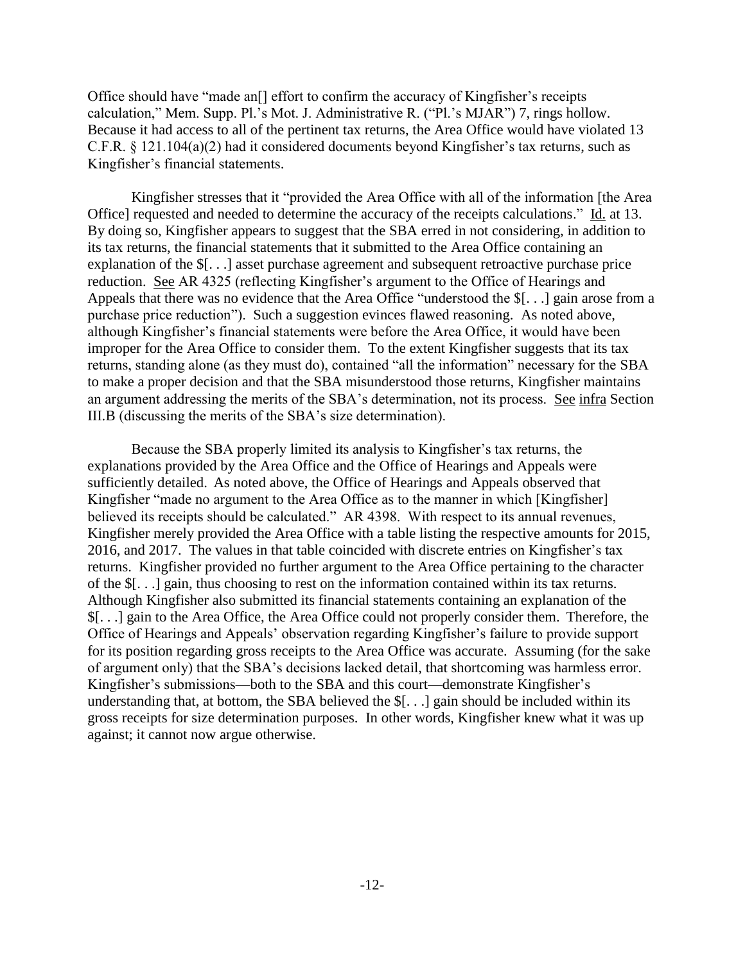Office should have "made an[] effort to confirm the accuracy of Kingfisher's receipts calculation," Mem. Supp. Pl.'s Mot. J. Administrative R. ("Pl.'s MJAR") 7, rings hollow. Because it had access to all of the pertinent tax returns, the Area Office would have violated 13 C.F.R. § 121.104(a)(2) had it considered documents beyond Kingfisher's tax returns, such as Kingfisher's financial statements.

 Kingfisher stresses that it "provided the Area Office with all of the information [the Area Office] requested and needed to determine the accuracy of the receipts calculations." Id. at 13. By doing so, Kingfisher appears to suggest that the SBA erred in not considering, in addition to its tax returns, the financial statements that it submitted to the Area Office containing an explanation of the \$[. . .] asset purchase agreement and subsequent retroactive purchase price reduction. See AR 4325 (reflecting Kingfisher's argument to the Office of Hearings and Appeals that there was no evidence that the Area Office "understood the \$[. . .] gain arose from a purchase price reduction"). Such a suggestion evinces flawed reasoning. As noted above, although Kingfisher's financial statements were before the Area Office, it would have been improper for the Area Office to consider them. To the extent Kingfisher suggests that its tax returns, standing alone (as they must do), contained "all the information" necessary for the SBA to make a proper decision and that the SBA misunderstood those returns, Kingfisher maintains an argument addressing the merits of the SBA's determination, not its process. See infra Section III.B (discussing the merits of the SBA's size determination).

Because the SBA properly limited its analysis to Kingfisher's tax returns, the explanations provided by the Area Office and the Office of Hearings and Appeals were sufficiently detailed. As noted above, the Office of Hearings and Appeals observed that Kingfisher "made no argument to the Area Office as to the manner in which [Kingfisher] believed its receipts should be calculated." AR 4398. With respect to its annual revenues, Kingfisher merely provided the Area Office with a table listing the respective amounts for 2015, 2016, and 2017. The values in that table coincided with discrete entries on Kingfisher's tax returns. Kingfisher provided no further argument to the Area Office pertaining to the character of the \$[. . .] gain, thus choosing to rest on the information contained within its tax returns. Although Kingfisher also submitted its financial statements containing an explanation of the \$[. . .] gain to the Area Office, the Area Office could not properly consider them. Therefore, the Office of Hearings and Appeals' observation regarding Kingfisher's failure to provide support for its position regarding gross receipts to the Area Office was accurate. Assuming (for the sake of argument only) that the SBA's decisions lacked detail, that shortcoming was harmless error. Kingfisher's submissions—both to the SBA and this court—demonstrate Kingfisher's understanding that, at bottom, the SBA believed the \$[. . .] gain should be included within its gross receipts for size determination purposes. In other words, Kingfisher knew what it was up against; it cannot now argue otherwise.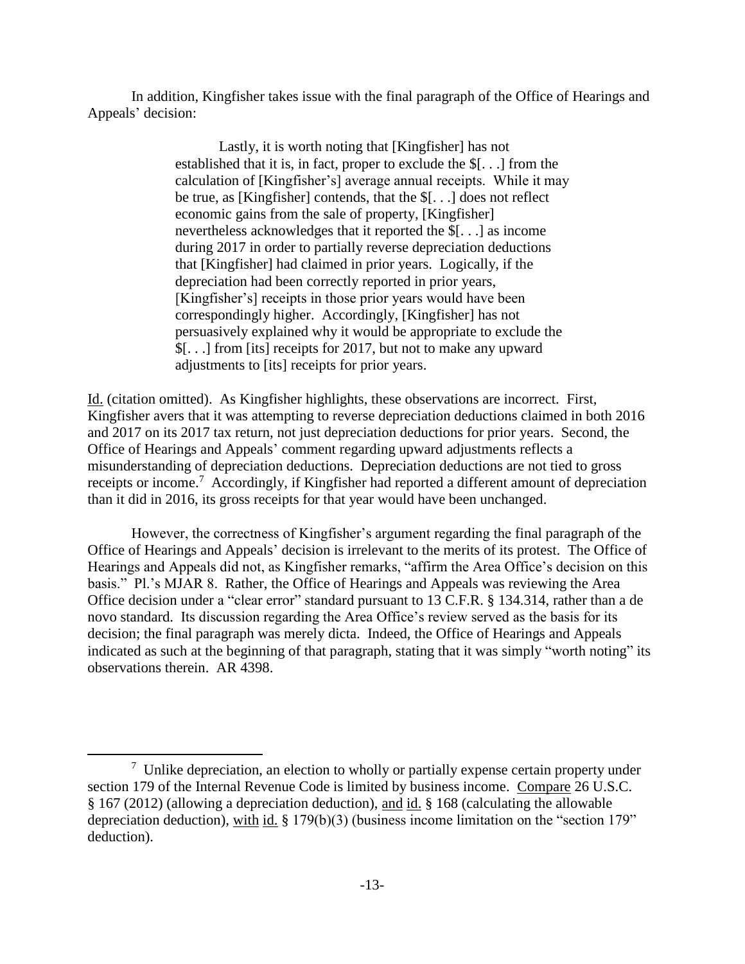In addition, Kingfisher takes issue with the final paragraph of the Office of Hearings and Appeals' decision:

> Lastly, it is worth noting that [Kingfisher] has not established that it is, in fact, proper to exclude the \$[. . .] from the calculation of [Kingfisher's] average annual receipts. While it may be true, as [Kingfisher] contends, that the \$[. . .] does not reflect economic gains from the sale of property, [Kingfisher] nevertheless acknowledges that it reported the \$[. . .] as income during 2017 in order to partially reverse depreciation deductions that [Kingfisher] had claimed in prior years. Logically, if the depreciation had been correctly reported in prior years, [Kingfisher's] receipts in those prior years would have been correspondingly higher. Accordingly, [Kingfisher] has not persuasively explained why it would be appropriate to exclude the \$[. . .] from [its] receipts for 2017, but not to make any upward adjustments to [its] receipts for prior years.

Id. (citation omitted). As Kingfisher highlights, these observations are incorrect. First, Kingfisher avers that it was attempting to reverse depreciation deductions claimed in both 2016 and 2017 on its 2017 tax return, not just depreciation deductions for prior years. Second, the Office of Hearings and Appeals' comment regarding upward adjustments reflects a misunderstanding of depreciation deductions. Depreciation deductions are not tied to gross receipts or income.<sup>7</sup> Accordingly, if Kingfisher had reported a different amount of depreciation than it did in 2016, its gross receipts for that year would have been unchanged.

However, the correctness of Kingfisher's argument regarding the final paragraph of the Office of Hearings and Appeals' decision is irrelevant to the merits of its protest. The Office of Hearings and Appeals did not, as Kingfisher remarks, "affirm the Area Office's decision on this basis." Pl.'s MJAR 8. Rather, the Office of Hearings and Appeals was reviewing the Area Office decision under a "clear error" standard pursuant to 13 C.F.R. § 134.314, rather than a de novo standard. Its discussion regarding the Area Office's review served as the basis for its decision; the final paragraph was merely dicta. Indeed, the Office of Hearings and Appeals indicated as such at the beginning of that paragraph, stating that it was simply "worth noting" its observations therein. AR 4398.

 $\frac{7}{1}$  Unlike depreciation, an election to wholly or partially expense certain property under section 179 of the Internal Revenue Code is limited by business income. Compare 26 U.S.C. § 167 (2012) (allowing a depreciation deduction), and id. § 168 (calculating the allowable depreciation deduction), with id. § 179(b)(3) (business income limitation on the "section 179" deduction).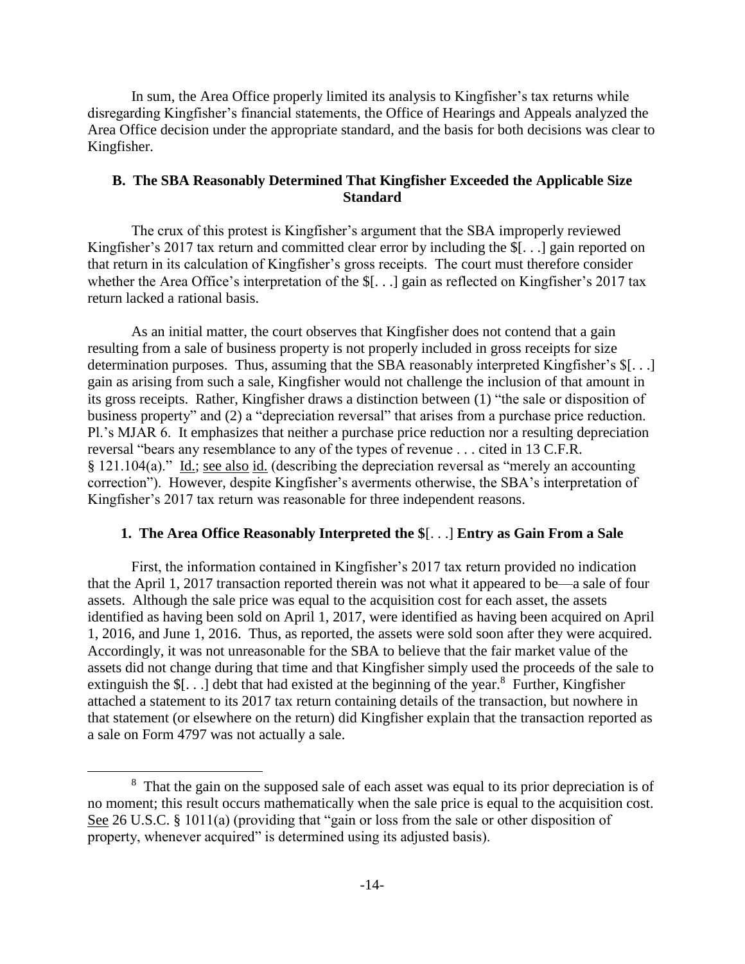In sum, the Area Office properly limited its analysis to Kingfisher's tax returns while disregarding Kingfisher's financial statements, the Office of Hearings and Appeals analyzed the Area Office decision under the appropriate standard, and the basis for both decisions was clear to Kingfisher.

# **B. The SBA Reasonably Determined That Kingfisher Exceeded the Applicable Size Standard**

The crux of this protest is Kingfisher's argument that the SBA improperly reviewed Kingfisher's 2017 tax return and committed clear error by including the \$[. . .] gain reported on that return in its calculation of Kingfisher's gross receipts. The court must therefore consider whether the Area Office's interpretation of the \$[. . .] gain as reflected on Kingfisher's 2017 tax return lacked a rational basis.

As an initial matter, the court observes that Kingfisher does not contend that a gain resulting from a sale of business property is not properly included in gross receipts for size determination purposes. Thus, assuming that the SBA reasonably interpreted Kingfisher's \$[. . .] gain as arising from such a sale, Kingfisher would not challenge the inclusion of that amount in its gross receipts. Rather, Kingfisher draws a distinction between (1) "the sale or disposition of business property" and (2) a "depreciation reversal" that arises from a purchase price reduction. Pl.'s MJAR 6. It emphasizes that neither a purchase price reduction nor a resulting depreciation reversal "bears any resemblance to any of the types of revenue . . . cited in 13 C.F.R. § 121.104(a)." Id.; see also id. (describing the depreciation reversal as "merely an accounting correction"). However, despite Kingfisher's averments otherwise, the SBA's interpretation of Kingfisher's 2017 tax return was reasonable for three independent reasons.

## **1. The Area Office Reasonably Interpreted the \$**[. . .] **Entry as Gain From a Sale**

First, the information contained in Kingfisher's 2017 tax return provided no indication that the April 1, 2017 transaction reported therein was not what it appeared to be—a sale of four assets. Although the sale price was equal to the acquisition cost for each asset, the assets identified as having been sold on April 1, 2017, were identified as having been acquired on April 1, 2016, and June 1, 2016. Thus, as reported, the assets were sold soon after they were acquired. Accordingly, it was not unreasonable for the SBA to believe that the fair market value of the assets did not change during that time and that Kingfisher simply used the proceeds of the sale to extinguish the  $\S[...]$  debt that had existed at the beginning of the year.<sup>8</sup> Further, Kingfisher attached a statement to its 2017 tax return containing details of the transaction, but nowhere in that statement (or elsewhere on the return) did Kingfisher explain that the transaction reported as a sale on Form 4797 was not actually a sale.

<sup>&</sup>lt;sup>8</sup> That the gain on the supposed sale of each asset was equal to its prior depreciation is of no moment; this result occurs mathematically when the sale price is equal to the acquisition cost. See 26 U.S.C. § 1011(a) (providing that "gain or loss from the sale or other disposition of property, whenever acquired" is determined using its adjusted basis).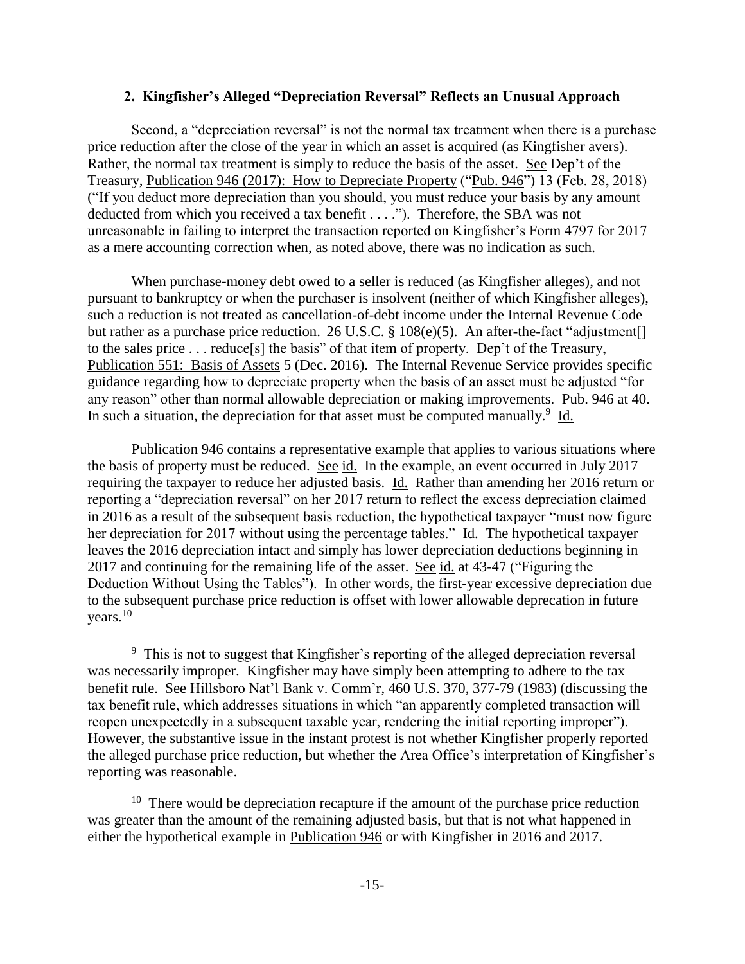#### **2. Kingfisher's Alleged "Depreciation Reversal" Reflects an Unusual Approach**

Second, a "depreciation reversal" is not the normal tax treatment when there is a purchase price reduction after the close of the year in which an asset is acquired (as Kingfisher avers). Rather, the normal tax treatment is simply to reduce the basis of the asset. See Dep't of the Treasury, Publication 946 (2017): How to Depreciate Property ("Pub. 946") 13 (Feb. 28, 2018) ("If you deduct more depreciation than you should, you must reduce your basis by any amount deducted from which you received a tax benefit . . . ."). Therefore, the SBA was not unreasonable in failing to interpret the transaction reported on Kingfisher's Form 4797 for 2017 as a mere accounting correction when, as noted above, there was no indication as such.

When purchase-money debt owed to a seller is reduced (as Kingfisher alleges), and not pursuant to bankruptcy or when the purchaser is insolvent (neither of which Kingfisher alleges), such a reduction is not treated as cancellation-of-debt income under the Internal Revenue Code but rather as a purchase price reduction. 26 U.S.C. § 108(e)(5). An after-the-fact "adjustment. to the sales price . . . reduce[s] the basis" of that item of property. Dep't of the Treasury, Publication 551: Basis of Assets 5 (Dec. 2016). The Internal Revenue Service provides specific guidance regarding how to depreciate property when the basis of an asset must be adjusted "for any reason" other than normal allowable depreciation or making improvements. Pub. 946 at 40. In such a situation, the depreciation for that asset must be computed manually.<sup>9</sup> Id.

Publication 946 contains a representative example that applies to various situations where the basis of property must be reduced. See id. In the example, an event occurred in July 2017 requiring the taxpayer to reduce her adjusted basis. Id. Rather than amending her 2016 return or reporting a "depreciation reversal" on her 2017 return to reflect the excess depreciation claimed in 2016 as a result of the subsequent basis reduction, the hypothetical taxpayer "must now figure her depreciation for 2017 without using the percentage tables." Id. The hypothetical taxpayer leaves the 2016 depreciation intact and simply has lower depreciation deductions beginning in 2017 and continuing for the remaining life of the asset. See id. at 43-47 ("Figuring the Deduction Without Using the Tables"). In other words, the first-year excessive depreciation due to the subsequent purchase price reduction is offset with lower allowable deprecation in future years.<sup>10</sup>

 $\overline{a}$ 

 $10$  There would be depreciation recapture if the amount of the purchase price reduction was greater than the amount of the remaining adjusted basis, but that is not what happened in either the hypothetical example in Publication 946 or with Kingfisher in 2016 and 2017.

<sup>&</sup>lt;sup>9</sup> This is not to suggest that Kingfisher's reporting of the alleged depreciation reversal was necessarily improper. Kingfisher may have simply been attempting to adhere to the tax benefit rule. See Hillsboro Nat'l Bank v. Comm'r, 460 U.S. 370, 377-79 (1983) (discussing the tax benefit rule, which addresses situations in which "an apparently completed transaction will reopen unexpectedly in a subsequent taxable year, rendering the initial reporting improper"). However, the substantive issue in the instant protest is not whether Kingfisher properly reported the alleged purchase price reduction, but whether the Area Office's interpretation of Kingfisher's reporting was reasonable.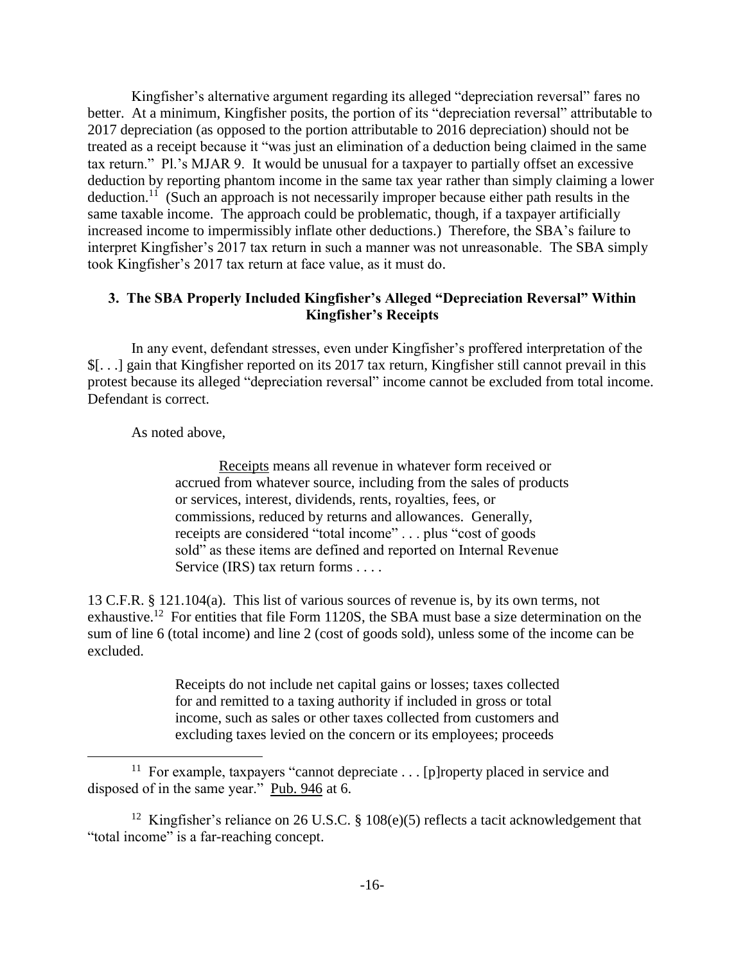Kingfisher's alternative argument regarding its alleged "depreciation reversal" fares no better. At a minimum, Kingfisher posits, the portion of its "depreciation reversal" attributable to 2017 depreciation (as opposed to the portion attributable to 2016 depreciation) should not be treated as a receipt because it "was just an elimination of a deduction being claimed in the same tax return." Pl.'s MJAR 9. It would be unusual for a taxpayer to partially offset an excessive deduction by reporting phantom income in the same tax year rather than simply claiming a lower deduction.<sup>11</sup> (Such an approach is not necessarily improper because either path results in the same taxable income. The approach could be problematic, though, if a taxpayer artificially increased income to impermissibly inflate other deductions.) Therefore, the SBA's failure to interpret Kingfisher's 2017 tax return in such a manner was not unreasonable. The SBA simply took Kingfisher's 2017 tax return at face value, as it must do.

# **3. The SBA Properly Included Kingfisher's Alleged "Depreciation Reversal" Within Kingfisher's Receipts**

In any event, defendant stresses, even under Kingfisher's proffered interpretation of the \$[. . .] gain that Kingfisher reported on its 2017 tax return, Kingfisher still cannot prevail in this protest because its alleged "depreciation reversal" income cannot be excluded from total income. Defendant is correct.

As noted above,

 $\overline{a}$ 

Receipts means all revenue in whatever form received or accrued from whatever source, including from the sales of products or services, interest, dividends, rents, royalties, fees, or commissions, reduced by returns and allowances. Generally, receipts are considered "total income" . . . plus "cost of goods sold" as these items are defined and reported on Internal Revenue Service (IRS) tax return forms . . . .

13 C.F.R. § 121.104(a). This list of various sources of revenue is, by its own terms, not exhaustive.<sup>12</sup> For entities that file Form 1120S, the SBA must base a size determination on the sum of line 6 (total income) and line 2 (cost of goods sold), unless some of the income can be excluded.

> Receipts do not include net capital gains or losses; taxes collected for and remitted to a taxing authority if included in gross or total income, such as sales or other taxes collected from customers and excluding taxes levied on the concern or its employees; proceeds

<sup>&</sup>lt;sup>11</sup> For example, taxpayers "cannot depreciate . . . [p]roperty placed in service and disposed of in the same year." Pub. 946 at 6.

<sup>&</sup>lt;sup>12</sup> Kingfisher's reliance on 26 U.S.C. § 108(e)(5) reflects a tacit acknowledgement that "total income" is a far-reaching concept.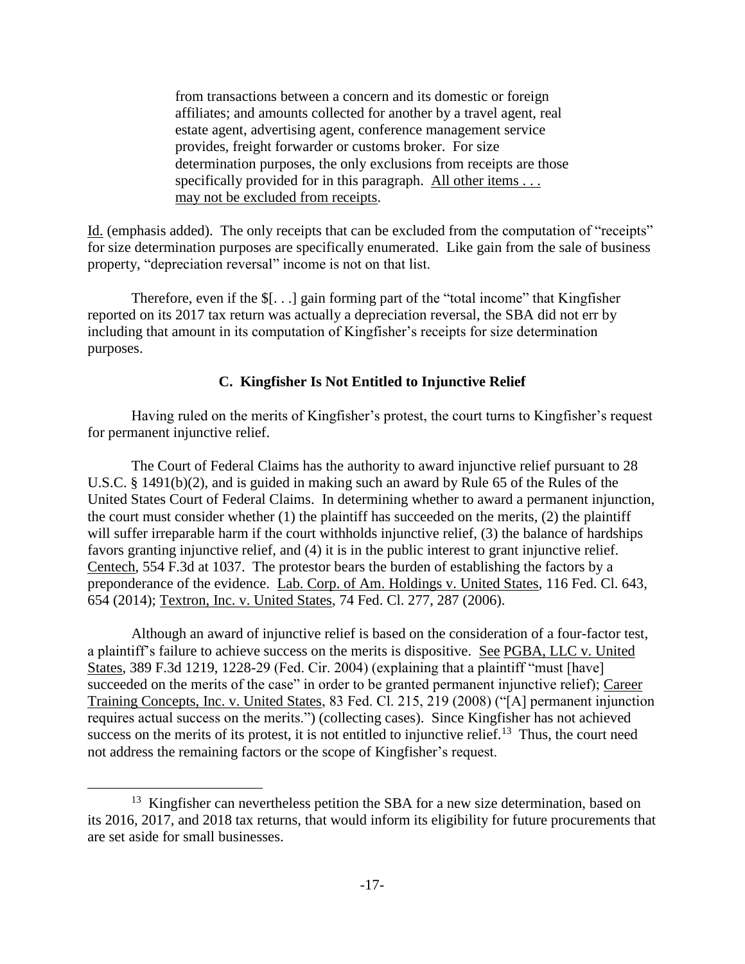from transactions between a concern and its domestic or foreign affiliates; and amounts collected for another by a travel agent, real estate agent, advertising agent, conference management service provides, freight forwarder or customs broker. For size determination purposes, the only exclusions from receipts are those specifically provided for in this paragraph. All other items . . . may not be excluded from receipts.

Id. (emphasis added). The only receipts that can be excluded from the computation of "receipts" for size determination purposes are specifically enumerated. Like gain from the sale of business property, "depreciation reversal" income is not on that list.

Therefore, even if the \$[. . .] gain forming part of the "total income" that Kingfisher reported on its 2017 tax return was actually a depreciation reversal, the SBA did not err by including that amount in its computation of Kingfisher's receipts for size determination purposes.

## **C. Kingfisher Is Not Entitled to Injunctive Relief**

Having ruled on the merits of Kingfisher's protest, the court turns to Kingfisher's request for permanent injunctive relief.

The Court of Federal Claims has the authority to award injunctive relief pursuant to 28 U.S.C. § 1491(b)(2), and is guided in making such an award by Rule 65 of the Rules of the United States Court of Federal Claims. In determining whether to award a permanent injunction, the court must consider whether  $(1)$  the plaintiff has succeeded on the merits,  $(2)$  the plaintiff will suffer irreparable harm if the court withholds injunctive relief, (3) the balance of hardships favors granting injunctive relief, and (4) it is in the public interest to grant injunctive relief. Centech, 554 F.3d at 1037. The protestor bears the burden of establishing the factors by a preponderance of the evidence. Lab. Corp. of Am. Holdings v. United States, 116 Fed. Cl. 643, 654 (2014); Textron, Inc. v. United States, 74 Fed. Cl. 277, 287 (2006).

Although an award of injunctive relief is based on the consideration of a four-factor test, a plaintiff's failure to achieve success on the merits is dispositive. See PGBA, LLC v. United States, 389 F.3d 1219, 1228-29 (Fed. Cir. 2004) (explaining that a plaintiff "must [have] succeeded on the merits of the case" in order to be granted permanent injunctive relief); Career Training Concepts, Inc. v. United States, 83 Fed. Cl. 215, 219 (2008) ("[A] permanent injunction requires actual success on the merits.") (collecting cases). Since Kingfisher has not achieved success on the merits of its protest, it is not entitled to injunctive relief.<sup>13</sup> Thus, the court need not address the remaining factors or the scope of Kingfisher's request.

<sup>&</sup>lt;sup>13</sup> Kingfisher can nevertheless petition the SBA for a new size determination, based on its 2016, 2017, and 2018 tax returns, that would inform its eligibility for future procurements that are set aside for small businesses.